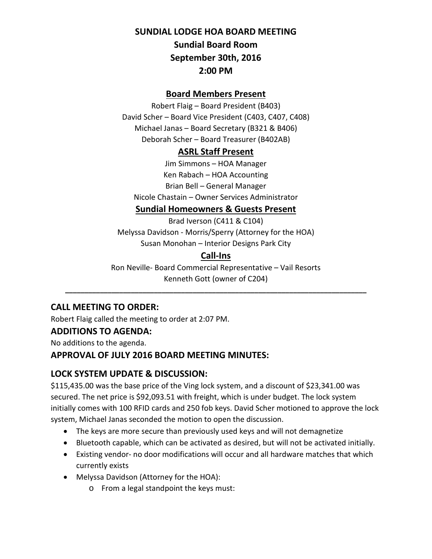# **SUNDIAL LODGE HOA BOARD MEETING Sundial Board Room September 30th, 2016**

# **2:00 PM**

#### **Board Members Present**

Robert Flaig – Board President (B403) David Scher – Board Vice President (C403, C407, C408) Michael Janas – Board Secretary (B321 & B406) Deborah Scher – Board Treasurer (B402AB)

#### **ASRL Staff Present**

Jim Simmons – HOA Manager Ken Rabach – HOA Accounting Brian Bell – General Manager Nicole Chastain – Owner Services Administrator

#### **Sundial Homeowners & Guests Present**

Brad Iverson (C411 & C104) Melyssa Davidson - Morris/Sperry (Attorney for the HOA) Susan Monohan – Interior Designs Park City

# **Call-Ins**

Ron Neville- Board Commercial Representative – Vail Resorts Kenneth Gott (owner of C204)

**\_\_\_\_\_\_\_\_\_\_\_\_\_\_\_\_\_\_\_\_\_\_\_\_\_\_\_\_\_\_\_\_\_\_\_\_\_\_\_\_\_\_\_\_\_\_\_\_\_\_\_\_\_\_\_\_\_\_\_\_\_\_\_\_\_\_\_\_\_\_\_\_\_\_\_\_\_\_**

## **CALL MEETING TO ORDER:**

Robert Flaig called the meeting to order at 2:07 PM.

#### **ADDITIONS TO AGENDA:**

No additions to the agenda.

#### **APPROVAL OF JULY 2016 BOARD MEETING MINUTES:**

#### **LOCK SYSTEM UPDATE & DISCUSSION:**

\$115,435.00 was the base price of the Ving lock system, and a discount of \$23,341.00 was secured. The net price is \$92,093.51 with freight, which is under budget. The lock system initially comes with 100 RFID cards and 250 fob keys. David Scher motioned to approve the lock system, Michael Janas seconded the motion to open the discussion.

- The keys are more secure than previously used keys and will not demagnetize
- Bluetooth capable, which can be activated as desired, but will not be activated initially.
- Existing vendor- no door modifications will occur and all hardware matches that which currently exists
- Melyssa Davidson (Attorney for the HOA):
	- o From a legal standpoint the keys must: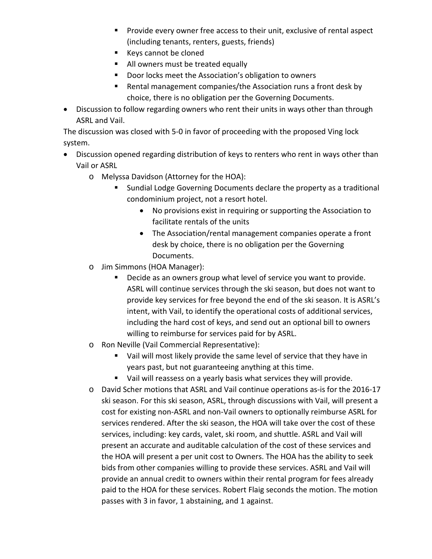- **Provide every owner free access to their unit, exclusive of rental aspect** (including tenants, renters, guests, friends)
- Keys cannot be cloned
- All owners must be treated equally
- Door locks meet the Association's obligation to owners
- Rental management companies/the Association runs a front desk by choice, there is no obligation per the Governing Documents.
- Discussion to follow regarding owners who rent their units in ways other than through ASRL and Vail.

The discussion was closed with 5-0 in favor of proceeding with the proposed Ving lock system.

- Discussion opened regarding distribution of keys to renters who rent in ways other than Vail or ASRL
	- o Melyssa Davidson (Attorney for the HOA):
		- Sundial Lodge Governing Documents declare the property as a traditional condominium project, not a resort hotel.
			- No provisions exist in requiring or supporting the Association to facilitate rentals of the units
			- The Association/rental management companies operate a front desk by choice, there is no obligation per the Governing Documents.
	- o Jim Simmons (HOA Manager):
		- Decide as an owners group what level of service you want to provide. ASRL will continue services through the ski season, but does not want to provide key services for free beyond the end of the ski season. It is ASRL's intent, with Vail, to identify the operational costs of additional services, including the hard cost of keys, and send out an optional bill to owners willing to reimburse for services paid for by ASRL.
	- o Ron Neville (Vail Commercial Representative):
		- Vail will most likely provide the same level of service that they have in years past, but not guaranteeing anything at this time.
		- Vail will reassess on a yearly basis what services they will provide.
	- o David Scher motions that ASRL and Vail continue operations as-is for the 2016-17 ski season. For this ski season, ASRL, through discussions with Vail, will present a cost for existing non-ASRL and non-Vail owners to optionally reimburse ASRL for services rendered. After the ski season, the HOA will take over the cost of these services, including: key cards, valet, ski room, and shuttle. ASRL and Vail will present an accurate and auditable calculation of the cost of these services and the HOA will present a per unit cost to Owners. The HOA has the ability to seek bids from other companies willing to provide these services. ASRL and Vail will provide an annual credit to owners within their rental program for fees already paid to the HOA for these services. Robert Flaig seconds the motion. The motion passes with 3 in favor, 1 abstaining, and 1 against.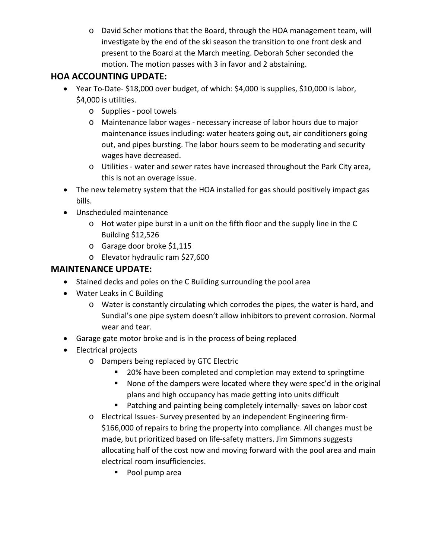o David Scher motions that the Board, through the HOA management team, will investigate by the end of the ski season the transition to one front desk and present to the Board at the March meeting. Deborah Scher seconded the motion. The motion passes with 3 in favor and 2 abstaining.

### **HOA ACCOUNTING UPDATE:**

- Year To-Date- \$18,000 over budget, of which: \$4,000 is supplies, \$10,000 is labor, \$4,000 is utilities.
	- o Supplies pool towels
	- o Maintenance labor wages necessary increase of labor hours due to major maintenance issues including: water heaters going out, air conditioners going out, and pipes bursting. The labor hours seem to be moderating and security wages have decreased.
	- o Utilities water and sewer rates have increased throughout the Park City area, this is not an overage issue.
- The new telemetry system that the HOA installed for gas should positively impact gas bills.
- Unscheduled maintenance
	- o Hot water pipe burst in a unit on the fifth floor and the supply line in the C Building \$12,526
	- o Garage door broke \$1,115
	- o Elevator hydraulic ram \$27,600

#### **MAINTENANCE UPDATE:**

- Stained decks and poles on the C Building surrounding the pool area
- Water Leaks in C Building
	- o Water is constantly circulating which corrodes the pipes, the water is hard, and Sundial's one pipe system doesn't allow inhibitors to prevent corrosion. Normal wear and tear.
- Garage gate motor broke and is in the process of being replaced
- Electrical projects
	- o Dampers being replaced by GTC Electric
		- 20% have been completed and completion may extend to springtime
		- None of the dampers were located where they were spec'd in the original plans and high occupancy has made getting into units difficult
		- **Patching and painting being completely internally- saves on labor cost**
	- o Electrical Issues- Survey presented by an independent Engineering firm- \$166,000 of repairs to bring the property into compliance. All changes must be made, but prioritized based on life-safety matters. Jim Simmons suggests allocating half of the cost now and moving forward with the pool area and main electrical room insufficiencies.
		- **Pool pump area**